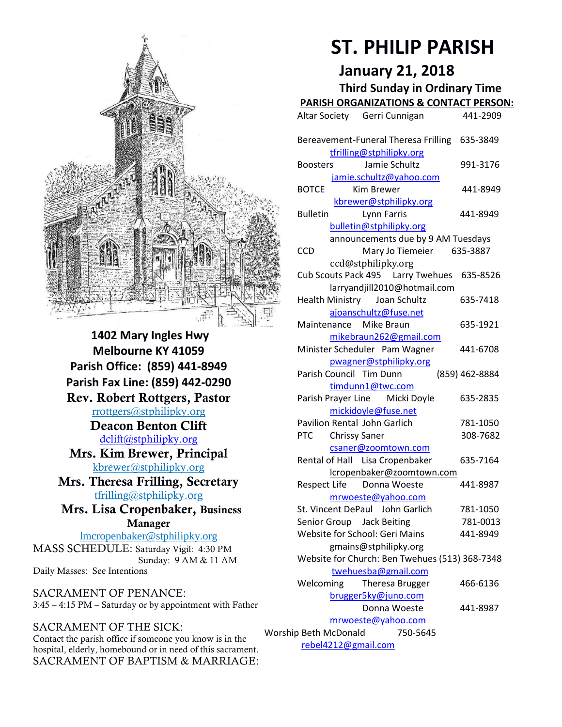

**1402 Mary Ingles Hwy Melbourne KY 41059 Parish Office: (859) 441-8949 Parish Fax Line: (859) 442-0290 Rev. Robert Rottgers, Pastor**  [rrottgers@stphilipky.org](mailto:rrottgers@stphilipky.org) **Deacon Benton Clift**  [dclift@stphilipky.org](mailto:dclift@stphilipky.org) **Mrs. Kim Brewer, Principal**  [kbrewer@stphilipky.org](mailto:kbrewer@stphilipky.org) **Mrs. Theresa Frilling, Secretary**  [tfrilling@stphilipky.org](mailto:tfrilling@stphilipky.org) **Mrs. Lisa Cropenbaker, Business Manager**  lmcropenbaker@stphilipky.org MASS SCHEDULE: Saturday Vigil: 4:30 PM Sunday: 9 AM & 11 AM

SACRAMENT OF PENANCE: 3:45 – 4:15 PM – Saturday or by appointment with Father

#### SACRAMENT OF THE SICK:

Daily Masses: See Intentions

Contact the parish office if someone you know is in the hospital, elderly, homebound or in need of this sacrament. SACRAMENT OF BAPTISM & MARRIAGE:

# **ST. PHILIP PARISH**

**January 21, 2018** 

**Third Sunday in Ordinary Time**

| <b>PARISH ORGANIZATIONS &amp; CONTACT PERSON:</b>                       |                                                                                  |                      |  |
|-------------------------------------------------------------------------|----------------------------------------------------------------------------------|----------------------|--|
|                                                                         | Altar Society Gerri Cunnigan                                                     | 441-2909             |  |
|                                                                         | Bereavement-Funeral Theresa Frilling<br>tfrilling@stphilipky.org                 | 635-3849             |  |
|                                                                         | Jamie Schultz<br><b>Boosters</b>                                                 | 991-3176             |  |
|                                                                         | jamie.schultz@yahoo.com<br><b>BOTCE</b><br><b>Kim Brewer</b>                     | 441-8949             |  |
|                                                                         | kbrewer@stphilipky.org<br><b>Bulletin</b><br>Lynn Farris                         | 441-8949             |  |
|                                                                         | bulletin@stphilipky.org<br>announcements due by 9 AM Tuesdays                    |                      |  |
|                                                                         | CCD<br>Mary Jo Tiemeier 635-3887<br>ccd@stphilipky.org                           |                      |  |
|                                                                         | Cub Scouts Pack 495    Larry Twehues    635-8526<br>larryandjill2010@hotmail.com |                      |  |
|                                                                         | <b>Health Ministry</b><br>Joan Schultz<br>ajoanschultz@fuse.net                  | 635-7418             |  |
|                                                                         | Maintenance Mike Braun                                                           | 635-1921             |  |
|                                                                         | mikebraun262@gmail.com<br>Minister Scheduler Pam Wagner                          | 441-6708             |  |
|                                                                         | pwagner@stphilipky.org<br>Parish Council Tim Dunn                                | (859) 462-8884       |  |
|                                                                         | timdunn1@twc.com<br>Parish Prayer Line<br>Micki Doyle                            | 635-2835             |  |
|                                                                         | mickidoyle@fuse.net<br>Pavilion Rental John Garlich                              | 781-1050             |  |
|                                                                         | <b>PTC</b><br><b>Chrissy Saner</b><br>csaner@zoomtown.com                        | 308-7682             |  |
|                                                                         | Rental of Hall Lisa Cropenbaker                                                  | 635-7164             |  |
|                                                                         | lcropenbaker@zoomtown.com<br><b>Respect Life</b><br>Donna Woeste                 | 441-8987             |  |
|                                                                         | mrwoeste@yahoo.com<br>St. Vincent DePaul John Garlich                            | 781-1050             |  |
|                                                                         | Senior Group Jack Beiting<br><b>Website for School: Geri Mains</b>               | 781-0013<br>441-8949 |  |
| gmains@stphilipky.org<br>Website for Church: Ben Twehues (513) 368-7348 |                                                                                  |                      |  |
|                                                                         | twehuesba@gmail.com<br>Welcoming<br>Theresa Brugger                              | 466-6136             |  |
|                                                                         | brugger5ky@juno.com                                                              |                      |  |
|                                                                         | Donna Woeste<br>mrwoeste@yahoo.com                                               | 441-8987             |  |
| Worship Beth McDonald<br>750-5645<br>rebel4212@gmail.com                |                                                                                  |                      |  |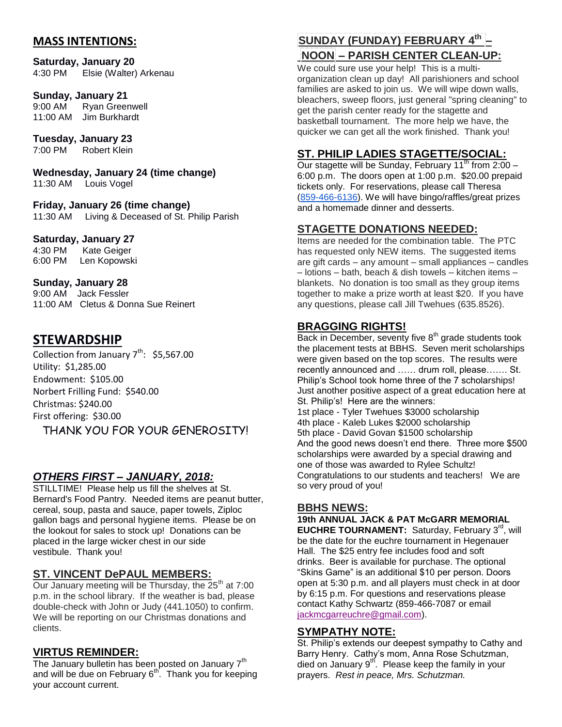# **MASS INTENTIONS:**

#### **Saturday, January 20**

4:30 PM Elsie (Walter) Arkenau

#### **Sunday, January 21**

9:00 AM Ryan Greenwell 11:00 AM Jim Burkhardt

# **Tuesday, January 23**

7:00 PM Robert Klein

**Wednesday, January 24 (time change)** 11:30 AM Louis Vogel

**Friday, January 26 (time change)** 11:30 AM Living & Deceased of St. Philip Parish

#### **Saturday, January 27**

4:30 PM Kate Geiger 6:00 PM Len Kopowski

#### **Sunday, January 28**

9:00 AM Jack Fessler 11:00 AM Cletus & Donna Sue Reinert

# **STEWARDSHIP**

Collection from January  $7^{th}$ : \$5,567.00 Utility: \$1,285.00 Endowment: \$105.00 Norbert Frilling Fund: \$540.00 Christmas: \$240.00 First offering: \$30.00 THANK YOU FOR YOUR GENEROSITY!

#### *OTHERS FIRST – JANUARY, 2018:*

STILLTIME! Please help us fill the shelves at St. Bernard's Food Pantry. Needed items are peanut butter, cereal, soup, pasta and sauce, paper towels, Ziploc gallon bags and personal hygiene items. Please be on the lookout for sales to stock up! Donations can be placed in the large wicker chest in our side vestibule. Thank you!

#### **ST. VINCENT DePAUL MEMBERS:**

Our January meeting will be Thursday, the  $25<sup>th</sup>$  at 7:00 p.m. in the school library. If the weather is bad, please double-check with John or Judy (441.1050) to confirm. We will be reporting on our Christmas donations and clients.

#### **VIRTUS REMINDER:**

The January bulletin has been posted on January  $7<sup>th</sup>$ and will be due on February 6<sup>th</sup>. Thank you for keeping your account current.

# **SUNDAY (FUNDAY) FEBRUARY 4 th – NOON – PARISH CENTER CLEAN-UP:**

We could sure use your help! This is a multiorganization clean up day! All parishioners and school families are asked to join us. We will wipe down walls, bleachers, sweep floors, just general "spring cleaning" to get the parish center ready for the stagette and basketball tournament. The more help we have, the quicker we can get all the work finished. Thank you!

# **ST. PHILIP LADIES STAGETTE/SOCIAL:**

Our stagette will be Sunday, February 11<sup>th</sup> from  $2:00 -$ 6:00 p.m. The doors open at 1:00 p.m. \$20.00 prepaid tickets only. For reservations, please call Theresa [\(859-466-6136\)](tel:(859)%20466-6136). We will have bingo/raffles/great prizes and a homemade dinner and desserts.

#### **STAGETTE DONATIONS NEEDED:**

Items are needed for the combination table. The PTC has requested only NEW items. The suggested items are gift cards – any amount – small appliances – candles – lotions – bath, beach & dish towels – kitchen items – blankets. No donation is too small as they group items together to make a prize worth at least \$20. If you have any questions, please call Jill Twehues (635.8526).

# **BRAGGING RIGHTS!**

Back in December, seventy five  $8<sup>th</sup>$  grade students took the placement tests at BBHS. Seven merit scholarships were given based on the top scores. The results were recently announced and …… drum roll, please……. St. Philip's School took home three of the 7 scholarships! Just another positive aspect of a great education here at St. Philip's! Here are the winners: 1st place - Tyler Twehues \$3000 scholarship 4th place - Kaleb Lukes \$2000 scholarship 5th place - David Govan \$1500 scholarship And the good news doesn't end there. Three more \$500 scholarships were awarded by a special drawing and one of those was awarded to Rylee Schultz! Congratulations to our students and teachers! We are so very proud of you!

#### **BBHS NEWS:**

**19th ANNUAL JACK & PAT McGARR MEMORIAL** 

**EUCHRE TOURNAMENT:** Saturday, February 3<sup>rd</sup>, will be the date for the euchre tournament in Hegenauer Hall. The \$25 entry fee includes food and soft drinks. Beer is available for purchase. The optional "Skins Game" is an additional \$10 per person. Doors open at 5:30 p.m. and all players must check in at door by 6:15 p.m. For questions and reservations please contact Kathy Schwartz (859-466-7087 or email [jackmcgarreuchre@gmail.com\)](mailto:jackmcgarreuchre@gmail.com).

#### **SYMPATHY NOTE:**

St. Philip's extends our deepest sympathy to Cathy and Barry Henry. Cathy's mom, Anna Rose Schutzman,  $\sum_{i=1}^{\infty}$   $\sum_{i=1}^{\infty}$  and  $\sum_{i=1}^{\infty}$  of  $\sum_{i=1}^{\infty}$ . Please keep the family in your prayers. *Rest in peace, Mrs. Schutzman.*